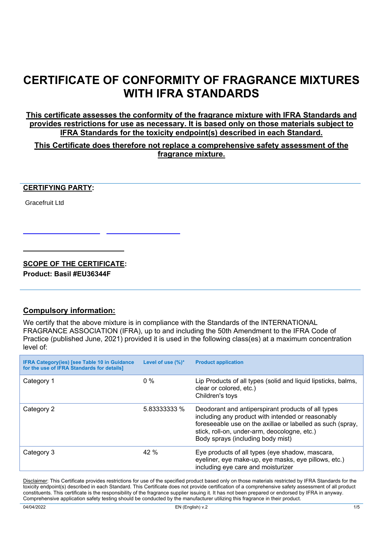## **CERTIFICATE OF CONFORMITY OF FRAGRANCE MIXTURES WITH IFRA STANDARDS**

**This certificate assesses the conformity of the fragrance mixture with IFRA Standards and provides restrictions for use as necessary. It is based only on those materials subject to IFRA Standards for the toxicity endpoint(s) described in each Standard.**

**This Certificate does therefore not replace a comprehensive safety assessment of the fragrance mixture.**

## **CERTIFYING PARTY:**

Gracefruit Ltd

## **SCOPE OF THE CERTIFICATE:**

**Product: Basil #EU36344F**

## **Compulsory information:**

We certify that the above mixture is in compliance with the Standards of the INTERNATIONAL FRAGRANCE ASSOCIATION (IFRA), up to and including the 50th Amendment to the IFRA Code of Practice (published June, 2021) provided it is used in the following class(es) at a maximum concentration level of:

| <b>IFRA Category(ies) [see Table 10 in Guidance</b><br>for the use of IFRA Standards for details] | Level of use $(\%)^*$ | <b>Product application</b>                                                                                                                                                                                                                                 |
|---------------------------------------------------------------------------------------------------|-----------------------|------------------------------------------------------------------------------------------------------------------------------------------------------------------------------------------------------------------------------------------------------------|
| Category 1                                                                                        | $0\%$                 | Lip Products of all types (solid and liquid lipsticks, balms,<br>clear or colored, etc.)<br>Children's toys                                                                                                                                                |
| Category 2                                                                                        | 5.83333333 %          | Deodorant and antiperspirant products of all types<br>including any product with intended or reasonably<br>foreseeable use on the axillae or labelled as such (spray,<br>stick, roll-on, under-arm, deocologne, etc.)<br>Body sprays (including body mist) |
| Category 3                                                                                        | 42%                   | Eye products of all types (eye shadow, mascara,<br>eyeliner, eye make-up, eye masks, eye pillows, etc.)<br>including eye care and moisturizer                                                                                                              |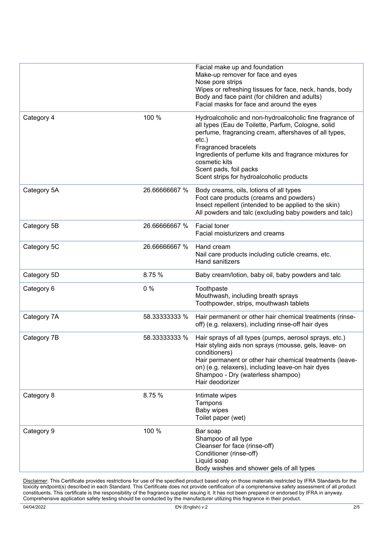|             |               | Facial make up and foundation<br>Make-up remover for face and eyes<br>Nose pore strips<br>Wipes or refreshing tissues for face, neck, hands, body<br>Body and face paint (for children and adults)<br>Facial masks for face and around the eyes                                                                                                             |
|-------------|---------------|-------------------------------------------------------------------------------------------------------------------------------------------------------------------------------------------------------------------------------------------------------------------------------------------------------------------------------------------------------------|
| Category 4  | 100 %         | Hydroalcoholic and non-hydroalcoholic fine fragrance of<br>all types (Eau de Toilette, Parfum, Cologne, solid<br>perfume, fragrancing cream, aftershaves of all types,<br>$etc.$ )<br>Fragranced bracelets<br>Ingredients of perfume kits and fragrance mixtures for<br>cosmetic kits<br>Scent pads, foil packs<br>Scent strips for hydroalcoholic products |
| Category 5A | 26.66666667 % | Body creams, oils, lotions of all types<br>Foot care products (creams and powders)<br>Insect repellent (intended to be applied to the skin)<br>All powders and talc (excluding baby powders and talc)                                                                                                                                                       |
| Category 5B | 26.66666667 % | Facial toner<br>Facial moisturizers and creams                                                                                                                                                                                                                                                                                                              |
| Category 5C | 26.66666667 % | Hand cream<br>Nail care products including cuticle creams, etc.<br>Hand sanitizers                                                                                                                                                                                                                                                                          |
| Category 5D | 8.75 %        | Baby cream/lotion, baby oil, baby powders and talc                                                                                                                                                                                                                                                                                                          |
| Category 6  | $0\%$         | Toothpaste<br>Mouthwash, including breath sprays<br>Toothpowder, strips, mouthwash tablets                                                                                                                                                                                                                                                                  |
| Category 7A | 58.33333333 % | Hair permanent or other hair chemical treatments (rinse-<br>off) (e.g. relaxers), including rinse-off hair dyes                                                                                                                                                                                                                                             |
| Category 7B | 58.33333333 % | Hair sprays of all types (pumps, aerosol sprays, etc.)<br>Hair styling aids non sprays (mousse, gels, leave- on<br>conditioners)<br>Hair permanent or other hair chemical treatments (leave-<br>on) (e.g. relaxers), including leave-on hair dyes<br>Shampoo - Dry (waterless shampoo)<br>Hair deodorizer                                                   |
| Category 8  | 8.75 %        | Intimate wipes<br>Tampons<br><b>Baby wipes</b><br>Toilet paper (wet)                                                                                                                                                                                                                                                                                        |
| Category 9  | 100 %         | Bar soap<br>Shampoo of all type<br>Cleanser for face (rinse-off)<br>Conditioner (rinse-off)<br>Liquid soap<br>Body washes and shower gels of all types                                                                                                                                                                                                      |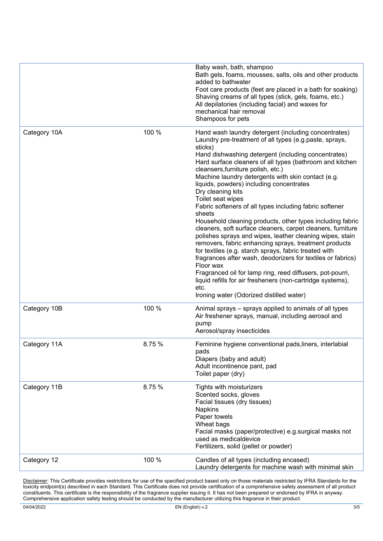|              |        | Baby wash, bath, shampoo<br>Bath gels, foams, mousses, salts, oils and other products<br>added to bathwater<br>Foot care products (feet are placed in a bath for soaking)<br>Shaving creams of all types (stick, gels, foams, etc.)<br>All depilatories (including facial) and waxes for<br>mechanical hair removal<br>Shampoos for pets                                                                                                                                                                                                                                                                                                                                                                                                                                                                                                                                                                                                                                                                                                                                 |
|--------------|--------|--------------------------------------------------------------------------------------------------------------------------------------------------------------------------------------------------------------------------------------------------------------------------------------------------------------------------------------------------------------------------------------------------------------------------------------------------------------------------------------------------------------------------------------------------------------------------------------------------------------------------------------------------------------------------------------------------------------------------------------------------------------------------------------------------------------------------------------------------------------------------------------------------------------------------------------------------------------------------------------------------------------------------------------------------------------------------|
| Category 10A | 100 %  | Hand wash laundry detergent (including concentrates)<br>Laundry pre-treatment of all types (e.g.paste, sprays,<br>sticks)<br>Hand dishwashing detergent (including concentrates)<br>Hard surface cleaners of all types (bathroom and kitchen<br>cleansers, furniture polish, etc.)<br>Machine laundry detergents with skin contact (e.g.<br>liquids, powders) including concentrates<br>Dry cleaning kits<br>Toilet seat wipes<br>Fabric softeners of all types including fabric softener<br>sheets<br>Household cleaning products, other types including fabric<br>cleaners, soft surface cleaners, carpet cleaners, furniture<br>polishes sprays and wipes, leather cleaning wipes, stain<br>removers, fabric enhancing sprays, treatment products<br>for textiles (e.g. starch sprays, fabric treated with<br>fragrances after wash, deodorizers for textiles or fabrics)<br>Floor wax<br>Fragranced oil for lamp ring, reed diffusers, pot-pourri,<br>liquid refills for air fresheners (non-cartridge systems),<br>etc.<br>Ironing water (Odorized distilled water) |
| Category 10B | 100 %  | Animal sprays – sprays applied to animals of all types<br>Air freshener sprays, manual, including aerosol and<br>pump<br>Aerosol/spray insecticides                                                                                                                                                                                                                                                                                                                                                                                                                                                                                                                                                                                                                                                                                                                                                                                                                                                                                                                      |
| Category 11A | 8.75 % | Feminine hygiene conventional pads, liners, interlabial<br>pads<br>Diapers (baby and adult)<br>Adult incontinence pant, pad<br>Toilet paper (dry)                                                                                                                                                                                                                                                                                                                                                                                                                                                                                                                                                                                                                                                                                                                                                                                                                                                                                                                        |
| Category 11B | 8.75 % | Tights with moisturizers<br>Scented socks, gloves<br>Facial tissues (dry tissues)<br><b>Napkins</b><br>Paper towels<br>Wheat bags<br>Facial masks (paper/protective) e.g.surgical masks not<br>used as medicaldevice<br>Fertilizers, solid (pellet or powder)                                                                                                                                                                                                                                                                                                                                                                                                                                                                                                                                                                                                                                                                                                                                                                                                            |
| Category 12  | 100 %  | Candles of all types (including encased)<br>Laundry detergents for machine wash with minimal skin                                                                                                                                                                                                                                                                                                                                                                                                                                                                                                                                                                                                                                                                                                                                                                                                                                                                                                                                                                        |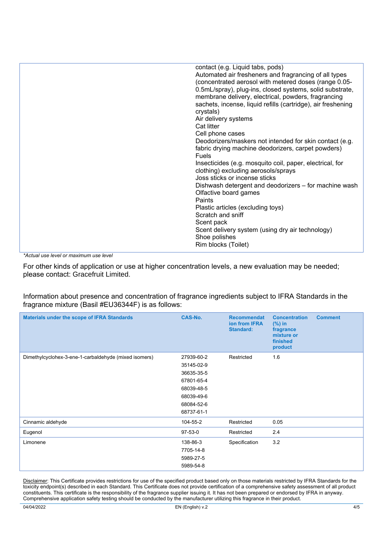| contact (e.g. Liquid tabs, pods)                             |
|--------------------------------------------------------------|
| Automated air fresheners and fragrancing of all types        |
| (concentrated aerosol with metered doses (range 0.05-        |
| 0.5mL/spray), plug-ins, closed systems, solid substrate,     |
| membrane delivery, electrical, powders, fragrancing          |
| sachets, incense, liquid refills (cartridge), air freshening |
| crystals)                                                    |
| Air delivery systems                                         |
| Cat litter                                                   |
| Cell phone cases                                             |
| Deodorizers/maskers not intended for skin contact (e.g.      |
| fabric drying machine deodorizers, carpet powders)           |
| <b>Fuels</b>                                                 |
| Insecticides (e.g. mosquito coil, paper, electrical, for     |
| clothing) excluding aerosols/sprays                          |
| Joss sticks or incense sticks                                |
| Dishwash detergent and deodorizers - for machine wash        |
| Olfactive board games                                        |
| Paints                                                       |
|                                                              |
| Plastic articles (excluding toys)                            |
| Scratch and sniff                                            |
| Scent pack                                                   |
| Scent delivery system (using dry air technology)             |
| Shoe polishes                                                |
| Rim blocks (Toilet)                                          |
|                                                              |

*\*Actual use level or maximum use level*

For other kinds of application or use at higher concentration levels, a new evaluation may be needed; please contact: Gracefruit Limited.

Information about presence and concentration of fragrance ingredients subject to IFRA Standards in the fragrance mixture (Basil #EU36344F) is as follows:

| <b>Materials under the scope of IFRA Standards</b>    | <b>CAS-No.</b> | <b>Recommendat</b><br>ion from IFRA<br><b>Standard:</b> | <b>Concentration</b><br>$(\%)$ in<br>fragrance<br>mixture or<br>finished<br>product | <b>Comment</b> |
|-------------------------------------------------------|----------------|---------------------------------------------------------|-------------------------------------------------------------------------------------|----------------|
| Dimethylcyclohex-3-ene-1-carbaldehyde (mixed isomers) | 27939-60-2     | Restricted                                              | 1.6                                                                                 |                |
|                                                       | 35145-02-9     |                                                         |                                                                                     |                |
|                                                       | 36635-35-5     |                                                         |                                                                                     |                |
|                                                       | 67801-65-4     |                                                         |                                                                                     |                |
|                                                       | 68039-48-5     |                                                         |                                                                                     |                |
|                                                       | 68039-49-6     |                                                         |                                                                                     |                |
|                                                       | 68084-52-6     |                                                         |                                                                                     |                |
|                                                       | 68737-61-1     |                                                         |                                                                                     |                |
| Cinnamic aldehyde                                     | 104-55-2       | Restricted                                              | 0.05                                                                                |                |
| Eugenol                                               | 97-53-0        | Restricted                                              | 2.4                                                                                 |                |
| Limonene                                              | 138-86-3       | Specification                                           | 3.2                                                                                 |                |
|                                                       | 7705-14-8      |                                                         |                                                                                     |                |
|                                                       | 5989-27-5      |                                                         |                                                                                     |                |
|                                                       | 5989-54-8      |                                                         |                                                                                     |                |